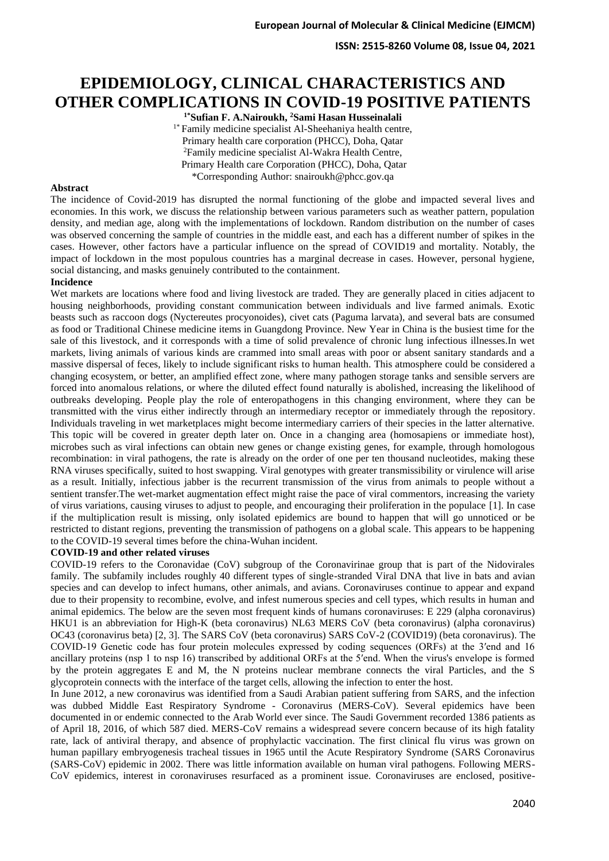**ISSN: 2515-8260 Volume 08, Issue 04, 2021**

# **EPIDEMIOLOGY, CLINICAL CHARACTERISTICS AND OTHER COMPLICATIONS IN COVID-19 POSITIVE PATIENTS**

**1\*Sufian F. A.Nairoukh, <sup>2</sup>Sami Hasan Husseinalali** <sup>1\*</sup> Family medicine specialist Al-Sheehaniya health centre, Primary health care corporation (PHCC), Doha, Qatar <sup>2</sup>Family medicine specialist Al-Wakra Health Centre, Primary Health care Corporation (PHCC), Doha, Qatar \*Corresponding Author: snairoukh@phcc.gov.qa

#### **Abstract**

The incidence of Covid-2019 has disrupted the normal functioning of the globe and impacted several lives and economies. In this work, we discuss the relationship between various parameters such as weather pattern, population density, and median age, along with the implementations of lockdown. Random distribution on the number of cases was observed concerning the sample of countries in the middle east, and each has a different number of spikes in the cases. However, other factors have a particular influence on the spread of COVID19 and mortality. Notably, the impact of lockdown in the most populous countries has a marginal decrease in cases. However, personal hygiene, social distancing, and masks genuinely contributed to the containment.

#### **Incidence**

Wet markets are locations where food and living livestock are traded. They are generally placed in cities adjacent to housing neighborhoods, providing constant communication between individuals and live farmed animals. Exotic beasts such as raccoon dogs (Nyctereutes procyonoides), civet cats (Paguma larvata), and several bats are consumed as food or Traditional Chinese medicine items in Guangdong Province. New Year in China is the busiest time for the sale of this livestock, and it corresponds with a time of solid prevalence of chronic lung infectious illnesses.In wet markets, living animals of various kinds are crammed into small areas with poor or absent sanitary standards and a massive dispersal of feces, likely to include significant risks to human health. This atmosphere could be considered a changing ecosystem, or better, an amplified effect zone, where many pathogen storage tanks and sensible servers are forced into anomalous relations, or where the diluted effect found naturally is abolished, increasing the likelihood of outbreaks developing. People play the role of enteropathogens in this changing environment, where they can be transmitted with the virus either indirectly through an intermediary receptor or immediately through the repository. Individuals traveling in wet marketplaces might become intermediary carriers of their species in the latter alternative. This topic will be covered in greater depth later on. Once in a changing area (homosapiens or immediate host), microbes such as viral infections can obtain new genes or change existing genes, for example, through homologous recombination: in viral pathogens, the rate is already on the order of one per ten thousand nucleotides, making these RNA viruses specifically, suited to host swapping. Viral genotypes with greater transmissibility or virulence will arise as a result. Initially, infectious jabber is the recurrent transmission of the virus from animals to people without a sentient transfer.The wet-market augmentation effect might raise the pace of viral commentors, increasing the variety of virus variations, causing viruses to adjust to people, and encouraging their proliferation in the populace [1]. In case if the multiplication result is missing, only isolated epidemics are bound to happen that will go unnoticed or be restricted to distant regions, preventing the transmission of pathogens on a global scale. This appears to be happening to the COVID-19 several times before the china-Wuhan incident.

## **COVID-19 and other related viruses**

COVID-19 refers to the Coronavidae (CoV) subgroup of the Coronavirinae group that is part of the Nidovirales family. The subfamily includes roughly 40 different types of single-stranded Viral DNA that live in bats and avian species and can develop to infect humans, other animals, and avians. Coronaviruses continue to appear and expand due to their propensity to recombine, evolve, and infest numerous species and cell types, which results in human and animal epidemics. The below are the seven most frequent kinds of humans coronaviruses: E 229 (alpha coronavirus) HKU1 is an abbreviation for High-K (beta coronavirus) NL63 MERS CoV (beta coronavirus) (alpha coronavirus) OC43 (coronavirus beta) [2, 3]. The SARS CoV (beta coronavirus) SARS CoV-2 (COVID19) (beta coronavirus). The COVID-19 Genetic code has four protein molecules expressed by coding sequences (ORFs) at the 3′end and 16 ancillary proteins (nsp 1 to nsp 16) transcribed by additional ORFs at the 5′end. When the virus's envelope is formed by the protein aggregates E and M, the N proteins nuclear membrane connects the viral Particles, and the S glycoprotein connects with the interface of the target cells, allowing the infection to enter the host.

In June 2012, a new coronavirus was identified from a Saudi Arabian patient suffering from SARS, and the infection was dubbed Middle East Respiratory Syndrome - Coronavirus (MERS-CoV). Several epidemics have been documented in or endemic connected to the Arab World ever since. The Saudi Government recorded 1386 patients as of April 18, 2016, of which 587 died. MERS-CoV remains a widespread severe concern because of its high fatality rate, lack of antiviral therapy, and absence of prophylactic vaccination. The first clinical flu virus was grown on human papillary embryogenesis tracheal tissues in 1965 until the Acute Respiratory Syndrome (SARS Coronavirus (SARS-CoV) epidemic in 2002. There was little information available on human viral pathogens. Following MERS-CoV epidemics, interest in coronaviruses resurfaced as a prominent issue. Coronaviruses are enclosed, positive-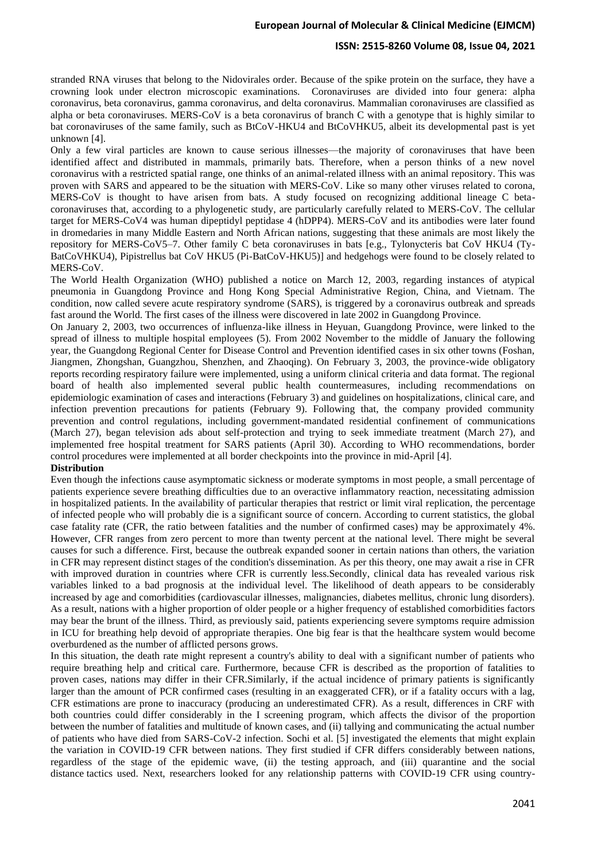#### **ISSN: 2515-8260 Volume 08, Issue 04, 2021**

stranded RNA viruses that belong to the Nidovirales order. Because of the spike protein on the surface, they have a crowning look under electron microscopic examinations. Coronaviruses are divided into four genera: alpha coronavirus, beta coronavirus, gamma coronavirus, and delta coronavirus. Mammalian coronaviruses are classified as alpha or beta coronaviruses. MERS-CoV is a beta coronavirus of branch C with a genotype that is highly similar to bat coronaviruses of the same family, such as BtCoV-HKU4 and BtCoVHKU5, albeit its developmental past is yet unknown [4].

Only a few viral particles are known to cause serious illnesses—the majority of coronaviruses that have been identified affect and distributed in mammals, primarily bats. Therefore, when a person thinks of a new novel coronavirus with a restricted spatial range, one thinks of an animal-related illness with an animal repository. This was proven with SARS and appeared to be the situation with MERS-CoV. Like so many other viruses related to corona, MERS-CoV is thought to have arisen from bats. A study focused on recognizing additional lineage C betacoronaviruses that, according to a phylogenetic study, are particularly carefully related to MERS-CoV. The cellular target for MERS-CoV4 was human dipeptidyl peptidase 4 (hDPP4). MERS-CoV and its antibodies were later found in dromedaries in many Middle Eastern and North African nations, suggesting that these animals are most likely the repository for MERS-CoV5–7. Other family C beta coronaviruses in bats [e.g., Tylonycteris bat CoV HKU4 (Ty-BatCoVHKU4), Pipistrellus bat CoV HKU5 (Pi-BatCoV-HKU5)] and hedgehogs were found to be closely related to MERS-CoV.

The World Health Organization (WHO) published a notice on March 12, 2003, regarding instances of atypical pneumonia in Guangdong Province and Hong Kong Special Administrative Region, China, and Vietnam. The condition, now called severe acute respiratory syndrome (SARS), is triggered by a coronavirus outbreak and spreads fast around the World. The first cases of the illness were discovered in late 2002 in Guangdong Province.

On January 2, 2003, two occurrences of influenza-like illness in Heyuan, Guangdong Province, were linked to the spread of illness to multiple hospital employees (5). From 2002 November to the middle of January the following year, the Guangdong Regional Center for Disease Control and Prevention identified cases in six other towns (Foshan, Jiangmen, Zhongshan, Guangzhou, Shenzhen, and Zhaoqing). On February 3, 2003, the province-wide obligatory reports recording respiratory failure were implemented, using a uniform clinical criteria and data format. The regional board of health also implemented several public health countermeasures, including recommendations on epidemiologic examination of cases and interactions (February 3) and guidelines on hospitalizations, clinical care, and infection prevention precautions for patients (February 9). Following that, the company provided community prevention and control regulations, including government-mandated residential confinement of communications (March 27), began television ads about self-protection and trying to seek immediate treatment (March 27), and implemented free hospital treatment for SARS patients (April 30). According to WHO recommendations, border control procedures were implemented at all border checkpoints into the province in mid-April [4].

## **Distribution**

Even though the infections cause asymptomatic sickness or moderate symptoms in most people, a small percentage of patients experience severe breathing difficulties due to an overactive inflammatory reaction, necessitating admission in hospitalized patients. In the availability of particular therapies that restrict or limit viral replication, the percentage of infected people who will probably die is a significant source of concern. According to current statistics, the global case fatality rate (CFR, the ratio between fatalities and the number of confirmed cases) may be approximately 4%. However, CFR ranges from zero percent to more than twenty percent at the national level. There might be several causes for such a difference. First, because the outbreak expanded sooner in certain nations than others, the variation in CFR may represent distinct stages of the condition's dissemination. As per this theory, one may await a rise in CFR with improved duration in countries where CFR is currently less.Secondly, clinical data has revealed various risk variables linked to a bad prognosis at the individual level. The likelihood of death appears to be considerably increased by age and comorbidities (cardiovascular illnesses, malignancies, diabetes mellitus, chronic lung disorders). As a result, nations with a higher proportion of older people or a higher frequency of established comorbidities factors may bear the brunt of the illness. Third, as previously said, patients experiencing severe symptoms require admission in ICU for breathing help devoid of appropriate therapies. One big fear is that the healthcare system would become overburdened as the number of afflicted persons grows.

In this situation, the death rate might represent a country's ability to deal with a significant number of patients who require breathing help and critical care. Furthermore, because CFR is described as the proportion of fatalities to proven cases, nations may differ in their CFR.Similarly, if the actual incidence of primary patients is significantly larger than the amount of PCR confirmed cases (resulting in an exaggerated CFR), or if a fatality occurs with a lag, CFR estimations are prone to inaccuracy (producing an underestimated CFR). As a result, differences in CRF with both countries could differ considerably in the I screening program, which affects the divisor of the proportion between the number of fatalities and multitude of known cases, and (ii) tallying and communicating the actual number of patients who have died from SARS-CoV-2 infection. Sochi et al. [5] investigated the elements that might explain the variation in COVID-19 CFR between nations. They first studied if CFR differs considerably between nations, regardless of the stage of the epidemic wave, (ii) the testing approach, and (iii) quarantine and the social distance tactics used. Next, researchers looked for any relationship patterns with COVID-19 CFR using country-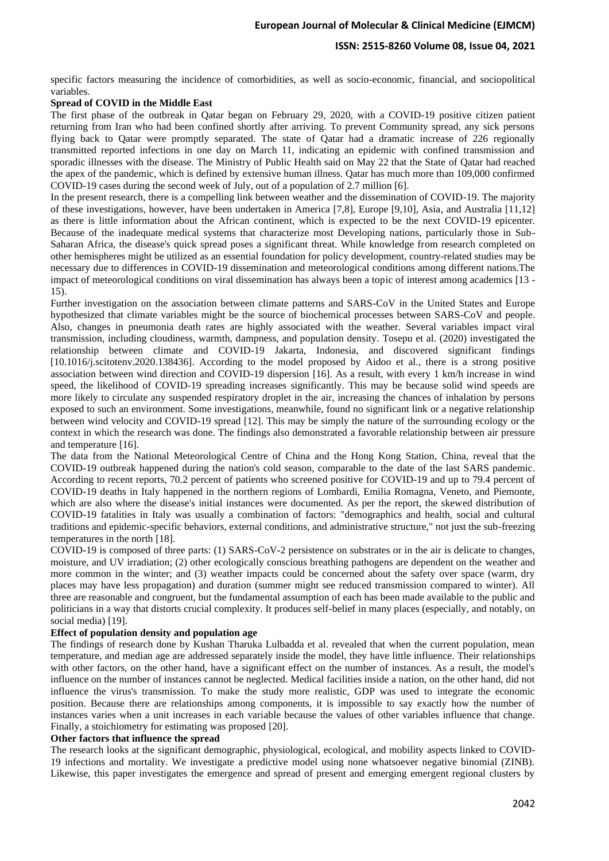## **ISSN: 2515-8260 Volume 08, Issue 04, 2021**

specific factors measuring the incidence of comorbidities, as well as socio-economic, financial, and sociopolitical variables.

#### **Spread of COVID in the Middle East**

The first phase of the outbreak in Qatar began on February 29, 2020, with a COVID-19 positive citizen patient returning from Iran who had been confined shortly after arriving. To prevent Community spread, any sick persons flying back to Qatar were promptly separated. The state of Qatar had a dramatic increase of 226 regionally transmitted reported infections in one day on March 11, indicating an epidemic with confined transmission and sporadic illnesses with the disease. The Ministry of Public Health said on May 22 that the State of Qatar had reached the apex of the pandemic, which is defined by extensive human illness. Qatar has much more than 109,000 confirmed COVID-19 cases during the second week of July, out of a population of 2.7 million [6].

In the present research, there is a compelling link between weather and the dissemination of COVID-19. The majority of these investigations, however, have been undertaken in America [7,8], Europe [9,10], Asia, and Australia [11,12] as there is little information about the African continent, which is expected to be the next COVID-19 epicenter. Because of the inadequate medical systems that characterize most Developing nations, particularly those in Sub-Saharan Africa, the disease's quick spread poses a significant threat. While knowledge from research completed on other hemispheres might be utilized as an essential foundation for policy development, country-related studies may be necessary due to differences in COVID-19 dissemination and meteorological conditions among different nations.The impact of meteorological conditions on viral dissemination has always been a topic of interest among academics [13 - 15).

Further investigation on the association between climate patterns and SARS-CoV in the United States and Europe hypothesized that climate variables might be the source of biochemical processes between SARS-CoV and people. Also, changes in pneumonia death rates are highly associated with the weather. Several variables impact viral transmission, including cloudiness, warmth, dampness, and population density. Tosepu et al. (2020) investigated the relationship between climate and COVID-19 Jakarta, Indonesia, and discovered significant findings [10.1016/j.scitotenv.2020.138436]. According to the model proposed by Aidoo et al., there is a strong positive association between wind direction and COVID-19 dispersion [16]. As a result, with every 1 km/h increase in wind speed, the likelihood of COVID-19 spreading increases significantly. This may be because solid wind speeds are more likely to circulate any suspended respiratory droplet in the air, increasing the chances of inhalation by persons exposed to such an environment. Some investigations, meanwhile, found no significant link or a negative relationship between wind velocity and COVID-19 spread [12]. This may be simply the nature of the surrounding ecology or the context in which the research was done. The findings also demonstrated a favorable relationship between air pressure and temperature [16].

The data from the National Meteorological Centre of China and the Hong Kong Station, China, reveal that the COVID-19 outbreak happened during the nation's cold season, comparable to the date of the last SARS pandemic. According to recent reports, 70.2 percent of patients who screened positive for COVID-19 and up to 79.4 percent of COVID-19 deaths in Italy happened in the northern regions of Lombardi, Emilia Romagna, Veneto, and Piemonte, which are also where the disease's initial instances were documented. As per the report, the skewed distribution of COVID-19 fatalities in Italy was usually a combination of factors: "demographics and health, social and cultural traditions and epidemic-specific behaviors, external conditions, and administrative structure," not just the sub-freezing temperatures in the north [18].

COVID-19 is composed of three parts: (1) SARS-CoV-2 persistence on substrates or in the air is delicate to changes, moisture, and UV irradiation; (2) other ecologically conscious breathing pathogens are dependent on the weather and more common in the winter; and (3) weather impacts could be concerned about the safety over space (warm, dry places may have less propagation) and duration (summer might see reduced transmission compared to winter). All three are reasonable and congruent, but the fundamental assumption of each has been made available to the public and politicians in a way that distorts crucial complexity. It produces self-belief in many places (especially, and notably, on social media) [19].

## **Effect of population density and population age**

The findings of research done by Kushan Tharuka Lulbadda et al. revealed that when the current population, mean temperature, and median age are addressed separately inside the model, they have little influence. Their relationships with other factors, on the other hand, have a significant effect on the number of instances. As a result, the model's influence on the number of instances cannot be neglected. Medical facilities inside a nation, on the other hand, did not influence the virus's transmission. To make the study more realistic, GDP was used to integrate the economic position. Because there are relationships among components, it is impossible to say exactly how the number of instances varies when a unit increases in each variable because the values of other variables influence that change. Finally, a stoichiometry for estimating was proposed [20].

#### **Other factors that influence the spread**

The research looks at the significant demographic, physiological, ecological, and mobility aspects linked to COVID-19 infections and mortality. We investigate a predictive model using none whatsoever negative binomial (ZINB). Likewise, this paper investigates the emergence and spread of present and emerging emergent regional clusters by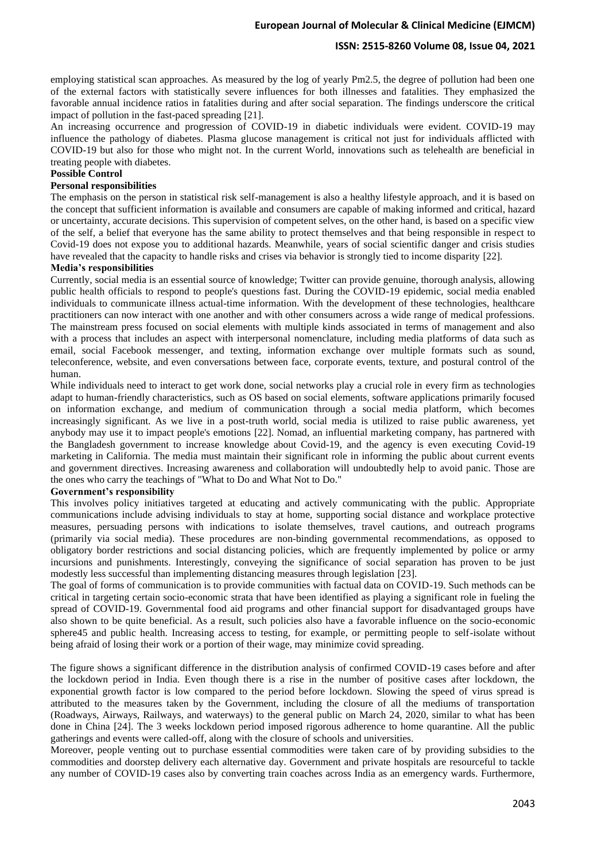### **ISSN: 2515-8260 Volume 08, Issue 04, 2021**

employing statistical scan approaches. As measured by the log of yearly Pm2.5, the degree of pollution had been one of the external factors with statistically severe influences for both illnesses and fatalities. They emphasized the favorable annual incidence ratios in fatalities during and after social separation. The findings underscore the critical impact of pollution in the fast-paced spreading [21].

An increasing occurrence and progression of COVID-19 in diabetic individuals were evident. COVID-19 may influence the pathology of diabetes. Plasma glucose management is critical not just for individuals afflicted with COVID-19 but also for those who might not. In the current World, innovations such as telehealth are beneficial in treating people with diabetes.

# **Possible Control**

## **Personal responsibilities**

The emphasis on the person in statistical risk self-management is also a healthy lifestyle approach, and it is based on the concept that sufficient information is available and consumers are capable of making informed and critical, hazard or uncertainty, accurate decisions. This supervision of competent selves, on the other hand, is based on a specific view of the self, a belief that everyone has the same ability to protect themselves and that being responsible in respect to Covid-19 does not expose you to additional hazards. Meanwhile, years of social scientific danger and crisis studies have revealed that the capacity to handle risks and crises via behavior is strongly tied to income disparity [22].

## **Media's responsibilities**

Currently, social media is an essential source of knowledge; Twitter can provide genuine, thorough analysis, allowing public health officials to respond to people's questions fast. During the COVID-19 epidemic, social media enabled individuals to communicate illness actual-time information. With the development of these technologies, healthcare practitioners can now interact with one another and with other consumers across a wide range of medical professions. The mainstream press focused on social elements with multiple kinds associated in terms of management and also with a process that includes an aspect with interpersonal nomenclature, including media platforms of data such as email, social Facebook messenger, and texting, information exchange over multiple formats such as sound, teleconference, website, and even conversations between face, corporate events, texture, and postural control of the human.

While individuals need to interact to get work done, social networks play a crucial role in every firm as technologies adapt to human-friendly characteristics, such as OS based on social elements, software applications primarily focused on information exchange, and medium of communication through a social media platform, which becomes increasingly significant. As we live in a post-truth world, social media is utilized to raise public awareness, yet anybody may use it to impact people's emotions [22]. Nomad, an influential marketing company, has partnered with the Bangladesh government to increase knowledge about Covid-19, and the agency is even executing Covid-19 marketing in California. The media must maintain their significant role in informing the public about current events and government directives. Increasing awareness and collaboration will undoubtedly help to avoid panic. Those are the ones who carry the teachings of "What to Do and What Not to Do."

#### **Government's responsibility**

This involves policy initiatives targeted at educating and actively communicating with the public. Appropriate communications include advising individuals to stay at home, supporting social distance and workplace protective measures, persuading persons with indications to isolate themselves, travel cautions, and outreach programs (primarily via social media). These procedures are non-binding governmental recommendations, as opposed to obligatory border restrictions and social distancing policies, which are frequently implemented by police or army incursions and punishments. Interestingly, conveying the significance of social separation has proven to be just modestly less successful than implementing distancing measures through legislation [23].

The goal of forms of communication is to provide communities with factual data on COVID-19. Such methods can be critical in targeting certain socio-economic strata that have been identified as playing a significant role in fueling the spread of COVID-19. Governmental food aid programs and other financial support for disadvantaged groups have also shown to be quite beneficial. As a result, such policies also have a favorable influence on the socio-economic sphere45 and public health. Increasing access to testing, for example, or permitting people to self-isolate without being afraid of losing their work or a portion of their wage, may minimize covid spreading.

The figure shows a significant difference in the distribution analysis of confirmed COVID-19 cases before and after the lockdown period in India. Even though there is a rise in the number of positive cases after lockdown, the exponential growth factor is low compared to the period before lockdown. Slowing the speed of virus spread is attributed to the measures taken by the Government, including the closure of all the mediums of transportation (Roadways, Airways, Railways, and waterways) to the general public on March 24, 2020, similar to what has been done in China [24]. The 3 weeks lockdown period imposed rigorous adherence to home quarantine. All the public gatherings and events were called-off, along with the closure of schools and universities.

Moreover, people venting out to purchase essential commodities were taken care of by providing subsidies to the commodities and doorstep delivery each alternative day. Government and private hospitals are resourceful to tackle any number of COVID-19 cases also by converting train coaches across India as an emergency wards. Furthermore,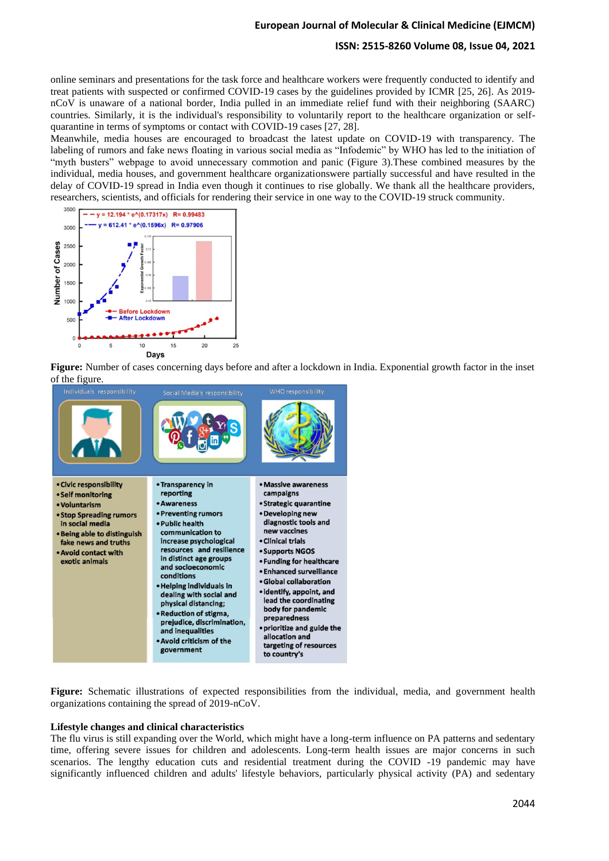## **ISSN: 2515-8260 Volume 08, Issue 04, 2021**

online seminars and presentations for the task force and healthcare workers were frequently conducted to identify and treat patients with suspected or confirmed COVID-19 cases by the guidelines provided by ICMR [25, 26]. As 2019 nCoV is unaware of a national border, India pulled in an immediate relief fund with their neighboring (SAARC) countries. Similarly, it is the individual's responsibility to voluntarily report to the healthcare organization or selfquarantine in terms of symptoms or contact with COVID-19 cases [27, 28].

Meanwhile, media houses are encouraged to broadcast the latest update on COVID-19 with transparency. The labeling of rumors and fake news floating in various social media as "Infodemic" by WHO has led to the initiation of "myth busters" webpage to avoid unnecessary commotion and panic (Figure 3). These combined measures by the individual, media houses, and government healthcare organizationswere partially successful and have resulted in the delay of COVID-19 spread in India even though it continues to rise globally. We thank all the healthcare providers, researchers, scientists, and officials for rendering their service in one way to the COVID-19 struck community.



**Figure:** Number of cases concerning days before and after a lockdown in India. Exponential growth factor in the inset of the figure.



**Figure:** Schematic illustrations of expected responsibilities from the individual, media, and government health organizations containing the spread of 2019-nCoV.

#### **Lifestyle changes and clinical characteristics**

The flu virus is still expanding over the World, which might have a long-term influence on PA patterns and sedentary time, offering severe issues for children and adolescents. Long-term health issues are major concerns in such scenarios. The lengthy education cuts and residential treatment during the COVID -19 pandemic may have significantly influenced children and adults' lifestyle behaviors, particularly physical activity (PA) and sedentary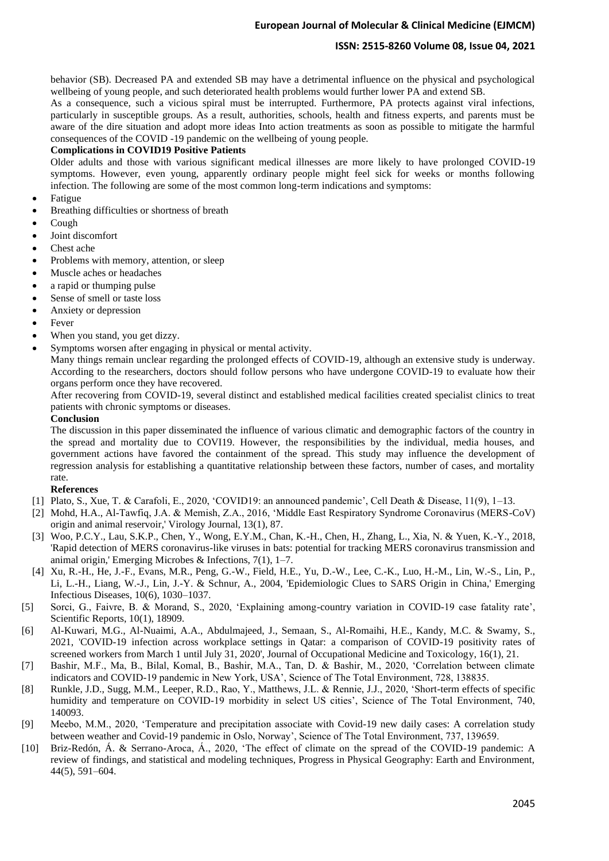# **ISSN: 2515-8260 Volume 08, Issue 04, 2021**

behavior (SB). Decreased PA and extended SB may have a detrimental influence on the physical and psychological wellbeing of young people, and such deteriorated health problems would further lower PA and extend SB.

As a consequence, such a vicious spiral must be interrupted. Furthermore, PA protects against viral infections, particularly in susceptible groups. As a result, authorities, schools, health and fitness experts, and parents must be aware of the dire situation and adopt more ideas Into action treatments as soon as possible to mitigate the harmful consequences of the COVID -19 pandemic on the wellbeing of young people.

# **Complications in COVID19 Positive Patients**

Older adults and those with various significant medical illnesses are more likely to have prolonged COVID-19 symptoms. However, even young, apparently ordinary people might feel sick for weeks or months following infection. The following are some of the most common long-term indications and symptoms:

- **Fatigue**
- Breathing difficulties or shortness of breath
- Cough
- Joint discomfort
- Chest ache
- Problems with memory, attention, or sleep
- Muscle aches or headaches
- a rapid or thumping pulse
- Sense of smell or taste loss
- Anxiety or depression
- **Fever**
- When you stand, you get dizzy.
- Symptoms worsen after engaging in physical or mental activity.

Many things remain unclear regarding the prolonged effects of COVID-19, although an extensive study is underway. According to the researchers, doctors should follow persons who have undergone COVID-19 to evaluate how their organs perform once they have recovered.

After recovering from COVID-19, several distinct and established medical facilities created specialist clinics to treat patients with chronic symptoms or diseases.

# **Conclusion**

The discussion in this paper disseminated the influence of various climatic and demographic factors of the country in the spread and mortality due to COVI19. However, the responsibilities by the individual, media houses, and government actions have favored the containment of the spread. This study may influence the development of regression analysis for establishing a quantitative relationship between these factors, number of cases, and mortality rate.

## **References**

- [1] Plato, S., Xue, T. & Carafoli, E., 2020, 'COVID19: an announced pandemic', Cell Death & Disease, 11(9), 1–13.
- [2] Mohd, H.A., Al-Tawfiq, J.A. & Memish, Z.A., 2016, 'Middle East Respiratory Syndrome Coronavirus (MERS-CoV) origin and animal reservoir,' Virology Journal, 13(1), 87.
- [3] Woo, P.C.Y., Lau, S.K.P., Chen, Y., Wong, E.Y.M., Chan, K.-H., Chen, H., Zhang, L., Xia, N. & Yuen, K.-Y., 2018, 'Rapid detection of MERS coronavirus-like viruses in bats: potential for tracking MERS coronavirus transmission and animal origin,' Emerging Microbes & Infections, 7(1), 1–7.
- [4] Xu, R.-H., He, J.-F., Evans, M.R., Peng, G.-W., Field, H.E., Yu, D.-W., Lee, C.-K., Luo, H.-M., Lin, W.-S., Lin, P., Li, L.-H., Liang, W.-J., Lin, J.-Y. & Schnur, A., 2004, 'Epidemiologic Clues to SARS Origin in China,' Emerging Infectious Diseases, 10(6), 1030–1037.
- [5] Sorci, G., Faivre, B. & Morand, S., 2020, 'Explaining among-country variation in COVID-19 case fatality rate', Scientific Reports, 10(1), 18909.
- [6] Al-Kuwari, M.G., Al-Nuaimi, A.A., Abdulmajeed, J., Semaan, S., Al-Romaihi, H.E., Kandy, M.C. & Swamy, S., 2021, 'COVID-19 infection across workplace settings in Qatar: a comparison of COVID-19 positivity rates of screened workers from March 1 until July 31, 2020', Journal of Occupational Medicine and Toxicology, 16(1), 21.
- [7] Bashir, M.F., Ma, B., Bilal, Komal, B., Bashir, M.A., Tan, D. & Bashir, M., 2020, 'Correlation between climate indicators and COVID-19 pandemic in New York, USA', Science of The Total Environment, 728, 138835.
- [8] Runkle, J.D., Sugg, M.M., Leeper, R.D., Rao, Y., Matthews, J.L. & Rennie, J.J., 2020, 'Short-term effects of specific humidity and temperature on COVID-19 morbidity in select US cities', Science of The Total Environment, 740, 140093.
- [9] Meebo, M.M., 2020, 'Temperature and precipitation associate with Covid-19 new daily cases: A correlation study between weather and Covid-19 pandemic in Oslo, Norway', Science of The Total Environment, 737, 139659.
- [10] Briz-Redón, Á. & Serrano-Aroca, Á., 2020, 'The effect of climate on the spread of the COVID-19 pandemic: A review of findings, and statistical and modeling techniques, Progress in Physical Geography: Earth and Environment, 44(5), 591–604.